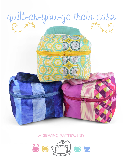

## **a sewing pattern by**

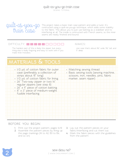

This project takes a basic train case pattern and adds a twist. It's contructed using a quilt-as-you-go technique, which adds some stability to the fabric. This allows you to just use batting as a stabilizer and no interfacing at all. The inside is contructed with French seams, so the inner seams are neatly finished and bound.

### $D$ ifficulty:  $\Box$  $\Box$  $\Box$ i

The hardest part of this is likely the zipper, but everything else is really forgiving and easy to work with if you make little mistakes.

#### makes:

one case that's about 6½" wide, 5½" tall, and 5" deep

# **materials & tools**

| . 1/2 yd. of cotton fabric for outer<br>case (preferably a collection of<br>strips about 15" long)<br>. 1/2 yd. of cotton fabric for lining<br>· 24" Two-way zipper or two 14"<br>regular zippers (see step 8)<br>· 24" x 11" piece of cotton batting<br>· 8" x 3" piece of medium-weight<br>fusible interfacing | • Matching sewing thread<br>· Basic sewing tools (sewing machine,<br>scissors, iron, needles, pins, fabric<br>marker, seam ripper) |
|------------------------------------------------------------------------------------------------------------------------------------------------------------------------------------------------------------------------------------------------------------------------------------------------------------------|------------------------------------------------------------------------------------------------------------------------------------|
|                                                                                                                                                                                                                                                                                                                  |                                                                                                                                    |

### **before you begin:**

- **1.** Print out the project pattern, pages 14-19
- **2.** Assemble the pattern pieces by lining up the page markings (A1 to A2, B3 to B4, and so on)
- **3.** Lay out the pattern pieces on your fabric/interfacing and cut them out
- **4.** Mark the fabric pieces with the guidelines from the pattern

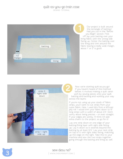

Our project is built around the rectangle of batting I had you cut in the "Before you Begin" section. First off, lay your batting over your lining fabric with the wrong side facing up. Center the batting over the lining and trim around the fabric leaving a really wide margin, about 1" or 2" is good.



Now we're starting quilt-as-you-go! If you haven't heard of this method before, it involves making a quilt sand wich by sewing pieces onto your quilt batting and backing and working your way across the layers.

If you're not using up your stash of fabric strips, you'll want to cut strips from your outer fabric. Here, I used bits from a leftover jelly roll. I would trim your fabric down to 15" long strips with a width of about 2-5". Don't worry about being precise -- or even straight. If your edges are wonky, I'll think it'll add extra charm to the project, so go for it!

Lay one strip down on one edge of your batting/lining layer with right side facing up. Lay it down so it extends beyond the batting by at least 3/4". Lay your next strip on top of it with right sides facing, matching up the edge on the right. Take this to your machine and sew the two strips together Our project is built around<br>that you can in the "Before"<br>out Begin" section. First<br>implies the lining cabric lining fabric with the wrong side<br>facing up. Center the batting over your means that<br>the faint lining and trim ar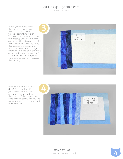When you're done, press the top strip away from the bottom strip and it will look something like this! You see how it starts to cover the batting. Continue like this, adding another strip on top of the previous one, sewing along the edge, and pressing away from the previous strips. Again, notice there's lots of extra fabric above and below the batting for insurance – make sure you're extending at least 3/4" beyond the batting.



Here we are about halfway done! You'll see how if your pieces are imperfect and wonky it will add to the charm of the project. Just keep layering strips, sewing, and pressing towards the other end of the batting.



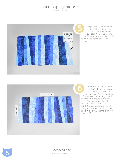

Keep sewing and covering that batting until you get to the other end. When you reach that end, be sure the fabric extends at least 3/4" beyond the other end of the batting.



When you finish, measure out 3/4" all the way around the batting and trim along those lines. You can usually feel where the batting is and be able to measure out from there. The rectangle should measure about  $25 \frac{1}{2} \times 12 \frac{1}{2}$ , but if it's not exact you're still fine, just be sure your edges are straight and your corners are 90 degrees :D

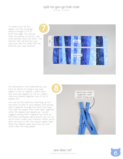To make room for the zipper, cut the rectangle along its length 4 1/2" in from one edge. You should have two pieces as shown, one a bit skinnier than the other. The skinnier half will become your case top, and the wider half will become your case bottom.



As mentioned in the materials list, you have an option of using a two-way zipper or two 14" zippers. I didn't have any two-way zippers on me so I improvised and sewed together two of my 14" zippers xD

You can do the same by matching up the top ends of both of your zippers and sewing them together through the teeth and tape. This way the zipper pulls come right together when the zippers are zipped up. I would suggest sewing them together by hand, as the teeth will always slip around if you try to shove them under your machine. When you're done, be sure to trim the excess zipper tape. Press the zippers open and then you can treat it like one long zipper!

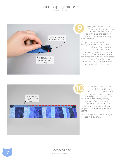# quilt-as-you-go train case

SEWING TUTORIAL



Trim your zipper so it's 24 1/2" long (or 1" shorter than your case pieces). Be sure to trim it so the seam (if you joined your zippers) stays in the middle.

 To get the zipper ready to insert, we have to add some tabs to each end. Sandwich one end of the zipper between two of the tabs and sew through all the layers. Then trim the seam allowance down to 1/4" and press the tabs away from the zipper. Repeat this with the other end of the zipper when you finish.



Attach the zipper to the case by lining up the tape along the cut edge of one of the case pieces – that is the edge that has all three layers of outer fabric, batting, and backing. Don't sew along the edge that's just fabric and no backing, we need that edge for your side and top/bottom seams.

Sew the zipper in place using a 1/4" seam allowance.

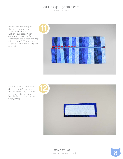Repeat the stitching on the other side of the zipper with the bottom half of your case. When complete, press the fabric away from the zipper and top stitch about 1/8" away from the zipper to keep everything nice and flat.



Now for a quick detour to do the handle! Take your handle interfacing and fuse it in the middle of your handle fabric piece (on the wrong side).

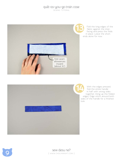

Fold the long edges of the fabric against the interfacing and press the folds in place. Leave the short ends alone for now.



With the edges pressed, fold the entire handle in half with wrong sides together, lining up the folded edges. Edge stitch around both sides of the handle for a finished look.

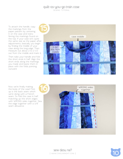#### quilt-as-you-go train case SEWING TUTORIAL

To attach the handle, copy the markings from the paper pattern by centering it on the case and trans ferring the markings found on the top. If your case isn't quite the same size as the paper after adjustments, basically you begin by finding the middle of your case along the long edge. Then measure out about 2 to 2 1/2" out from the middle and mark it.

Then take your handle and fold the short ends in half. Align the short ends along the markings you made and baste them in place with the folds pointing outward.



Now we're finally making the body of the case! First up is the back seam which we're doing with a French seam. So fold the case in half, matching up the short edges with WRONG sides together. Sew the edge together with a 3/8" seam allowance.





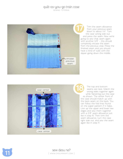#### quilt-as-you-go train case SEWING TUTORIAL



Trim the seam allowance from your previous seam down to about 1/4". Turn the case wrong side out and press the seam. Now we're going to sew that seam again with another 3/8" – this should completely encase the seam from the previous step. Press the finished seam and you should have a kind of tube with the zipper going down the middle.



The top and bottom seams are next. Match the wrong sides together again while flattening out the case as shown. The center front of the case should match up with the back seam on the back. You can follow the fold lines found on the paper pattern if it helps. Line up the upper and lower raw edges and sew them together with a 3/8" seam allowance just like in step 16. Then trim the seam allowance, turn the case right side out, and sew the seam again like in step 17.

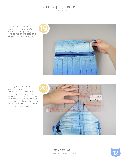Almost done! Now we're making the corners of the case. Do this by folding one corner of the case at a diagonal as shown above.



With your corner folded as in the previous step, measure down from the corner by 2 1/2" and mark across the corner. Then take the case to your machine and sew across this line as it's folded. Repeat this with the other 3 corners of your case.





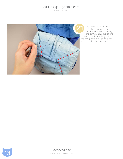

To finish up, take those big flappy corners and anchor them down along the bottom and top of the case by whip stitching it to the lining. This will also help add some stability to your case.

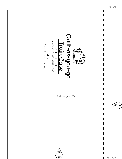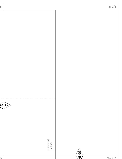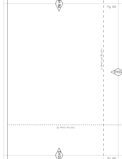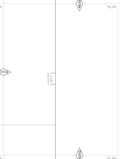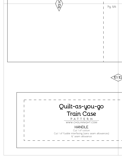